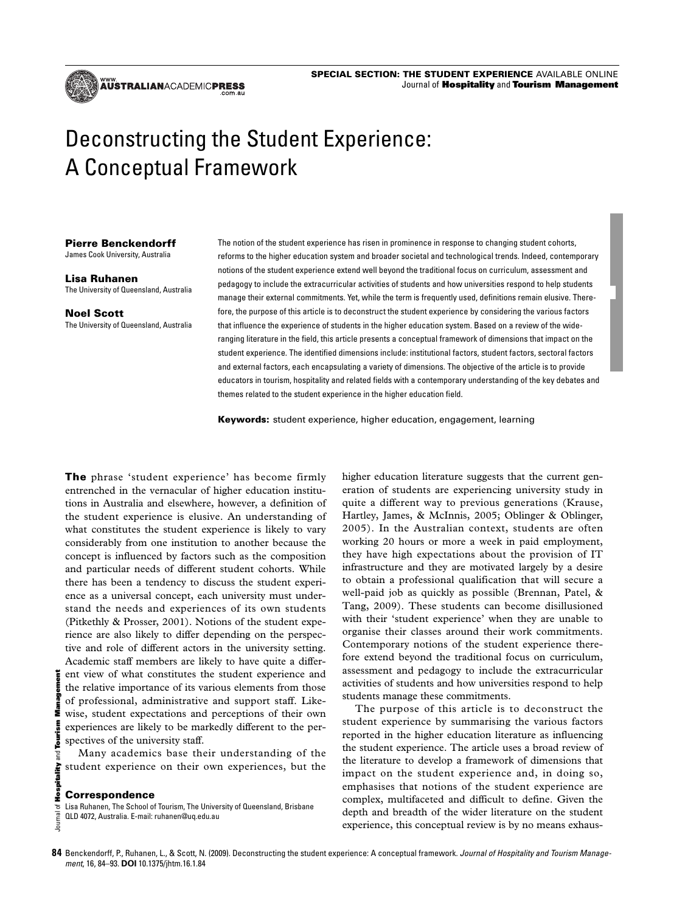# Deconstructing the Student Experience: A Conceptual Framework

**Pierre Benckendorff**

James Cook University, Australia

**Lisa Ruhanen** The University of Queensland, Australia

**Noel Scott** The University of Queensland, Australia The notion of the student experience has risen in prominence in response to changing student cohorts, reforms to the higher education system and broader societal and technological trends. Indeed, contemporary notions of the student experience extend well beyond the traditional focus on curriculum, assessment and pedagogy to include the extracurricular activities of students and how universities respond to help students manage their external commitments. Yet, while the term is frequently used, definitions remain elusive. Therefore, the purpose of this article is to deconstruct the student experience by considering the various factors that influence the experience of students in the higher education system. Based on a review of the wideranging literature in the field, this article presents a conceptual framework of dimensions that impact on the student experience. The identified dimensions include: institutional factors, student factors, sectoral factors and external factors, each encapsulating a variety of dimensions. The objective of the article is to provide educators in tourism, hospitality and related fields with a contemporary understanding of the key debates and themes related to the student experience in the higher education field.

**Keywords:** student experience, higher education, engagement, learning

**The** phrase 'student experience' has become firmly entrenched in the vernacular of higher education institutions in Australia and elsewhere, however, a definition of the student experience is elusive. An understanding of what constitutes the student experience is likely to vary considerably from one institution to another because the concept is influenced by factors such as the composition and particular needs of different student cohorts. While there has been a tendency to discuss the student experience as a universal concept, each university must understand the needs and experiences of its own students (Pitkethly & Prosser, 2001). Notions of the student experience are also likely to differ depending on the perspective and role of different actors in the university setting. Academic staff members are likely to have quite a different view of what constitutes the student experience and the relative importance of its various elements from those of professional, administrative and support staff. Likewise, student expectations and perceptions of their own experiences are likely to be markedly different to the perspectives of the university staff.

Many academics base their understanding of the student experience on their own experiences, but the

#### **Correspondence**

š

£

Journal of **Hospitality** and **Tourism Management** Lisa Ruhanen, The School of Tourism, The University of Queensland, Brisbane QLD 4072, Australia. E-mail: ruhanen@uq.edu.au

higher education literature suggests that the current generation of students are experiencing university study in quite a different way to previous generations (Krause, Hartley, James, & McInnis, 2005; Oblinger & Oblinger, 2005). In the Australian context, students are often working 20 hours or more a week in paid employment, they have high expectations about the provision of IT infrastructure and they are motivated largely by a desire to obtain a professional qualification that will secure a well-paid job as quickly as possible (Brennan, Patel, & Tang, 2009). These students can become disillusioned with their 'student experience' when they are unable to organise their classes around their work commitments. Contemporary notions of the student experience therefore extend beyond the traditional focus on curriculum, assessment and pedagogy to include the extracurricular activities of students and how universities respond to help students manage these commitments.

The purpose of this article is to deconstruct the student experience by summarising the various factors reported in the higher education literature as influencing the student experience. The article uses a broad review of the literature to develop a framework of dimensions that impact on the student experience and, in doing so, emphasises that notions of the student experience are complex, multifaceted and difficult to define. Given the depth and breadth of the wider literature on the student experience, this conceptual review is by no means exhaus-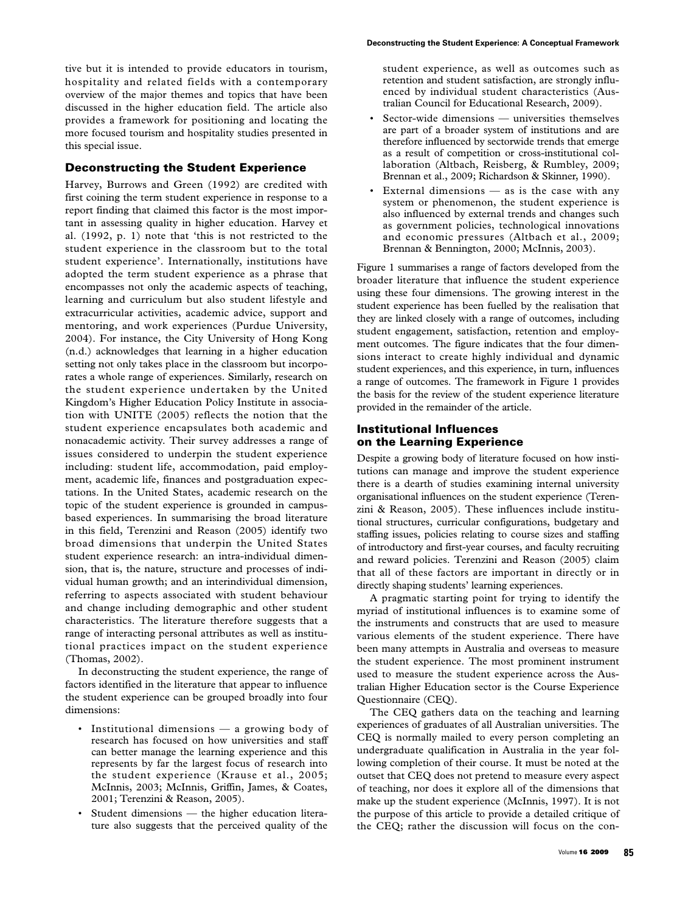tive but it is intended to provide educators in tourism, hospitality and related fields with a contemporary overview of the major themes and topics that have been discussed in the higher education field. The article also provides a framework for positioning and locating the more focused tourism and hospitality studies presented in this special issue.

#### **Deconstructing the Student Experience**

Harvey, Burrows and Green (1992) are credited with first coining the term student experience in response to a report finding that claimed this factor is the most important in assessing quality in higher education. Harvey et al. (1992, p. 1) note that 'this is not restricted to the student experience in the classroom but to the total student experience'. Internationally, institutions have adopted the term student experience as a phrase that encompasses not only the academic aspects of teaching, learning and curriculum but also student lifestyle and extracurricular activities, academic advice, support and mentoring, and work experiences (Purdue University, 2004). For instance, the City University of Hong Kong (n.d.) acknowledges that learning in a higher education setting not only takes place in the classroom but incorporates a whole range of experiences. Similarly, research on the student experience undertaken by the United Kingdom's Higher Education Policy Institute in association with UNITE (2005) reflects the notion that the student experience encapsulates both academic and nonacademic activity. Their survey addresses a range of issues considered to underpin the student experience including: student life, accommodation, paid employment, academic life, finances and postgraduation expectations. In the United States, academic research on the topic of the student experience is grounded in campusbased experiences. In summarising the broad literature in this field, Terenzini and Reason (2005) identify two broad dimensions that underpin the United States student experience research: an intra-individual dimension, that is, the nature, structure and processes of individual human growth; and an interindividual dimension, referring to aspects associated with student behaviour and change including demographic and other student characteristics. The literature therefore suggests that a range of interacting personal attributes as well as institutional practices impact on the student experience (Thomas, 2002).

In deconstructing the student experience, the range of factors identified in the literature that appear to influence the student experience can be grouped broadly into four dimensions:

- Institutional dimensions a growing body of research has focused on how universities and staff can better manage the learning experience and this represents by far the largest focus of research into the student experience (Krause et al., 2005; McInnis, 2003; McInnis, Griffin, James, & Coates, 2001; Terenzini & Reason, 2005).
- Student dimensions the higher education literature also suggests that the perceived quality of the

student experience, as well as outcomes such as retention and student satisfaction, are strongly influenced by individual student characteristics (Australian Council for Educational Research, 2009).

- $Sector$ -wide dimensions  $-$  universities themselves are part of a broader system of institutions and are therefore influenced by sectorwide trends that emerge as a result of competition or cross-institutional collaboration (Altbach, Reisberg, & Rumbley, 2009; Brennan et al., 2009; Richardson & Skinner, 1990).
- External dimensions  $-$  as is the case with any system or phenomenon, the student experience is also influenced by external trends and changes such as government policies, technological innovations and economic pressures (Altbach et al., 2009; Brennan & Bennington, 2000; McInnis, 2003).

Figure 1 summarises a range of factors developed from the broader literature that influence the student experience using these four dimensions. The growing interest in the student experience has been fuelled by the realisation that they are linked closely with a range of outcomes, including student engagement, satisfaction, retention and employment outcomes. The figure indicates that the four dimensions interact to create highly individual and dynamic student experiences, and this experience, in turn, influences a range of outcomes. The framework in Figure 1 provides the basis for the review of the student experience literature provided in the remainder of the article.

### **Institutional Influences on the Learning Experience**

Despite a growing body of literature focused on how institutions can manage and improve the student experience there is a dearth of studies examining internal university organisational influences on the student experience (Terenzini & Reason, 2005). These influences include institutional structures, curricular configurations, budgetary and staffing issues, policies relating to course sizes and staffing of introductory and first-year courses, and faculty recruiting and reward policies. Terenzini and Reason (2005) claim that all of these factors are important in directly or in directly shaping students' learning experiences.

A pragmatic starting point for trying to identify the myriad of institutional influences is to examine some of the instruments and constructs that are used to measure various elements of the student experience. There have been many attempts in Australia and overseas to measure the student experience. The most prominent instrument used to measure the student experience across the Australian Higher Education sector is the Course Experience Questionnaire (CEQ).

The CEQ gathers data on the teaching and learning experiences of graduates of all Australian universities. The CEQ is normally mailed to every person completing an undergraduate qualification in Australia in the year following completion of their course. It must be noted at the outset that CEQ does not pretend to measure every aspect of teaching, nor does it explore all of the dimensions that make up the student experience (McInnis, 1997). It is not the purpose of this article to provide a detailed critique of the CEQ; rather the discussion will focus on the con-